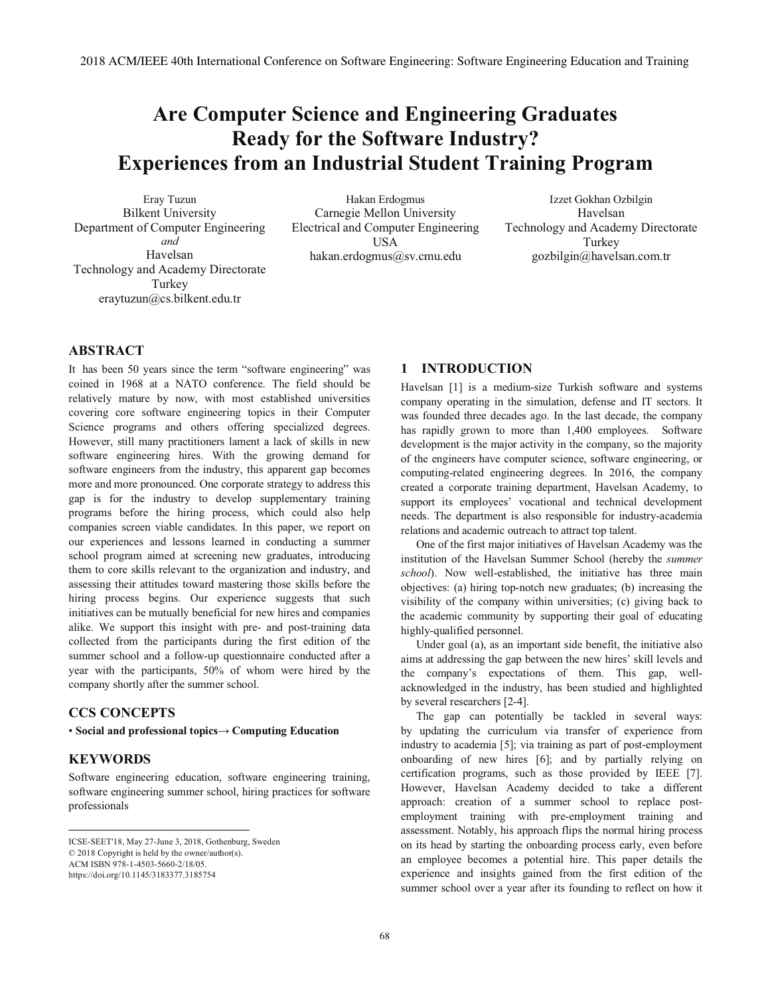Eray Tuzun Bilkent University Department of Computer Engineering *and* Havelsan Technology and Academy Directorate Turkey eraytuzun@cs.bilkent.edu.tr

Hakan Erdogmus Carnegie Mellon University Electrical and Computer Engineering USA hakan.erdogmus@sv.cmu.edu

Izzet Gokhan Ozbilgin Havelsan Technology and Academy Directorate Turkey gozbilgin@havelsan.com.tr

# **ABSTRACT**

It has been 50 years since the term "software engineering" was coined in 1968 at a NATO conference. The field should be relatively mature by now, with most established universities covering core software engineering topics in their Computer Science programs and others offering specialized degrees. However, still many practitioners lament a lack of skills in new software engineering hires. With the growing demand for software engineers from the industry, this apparent gap becomes more and more pronounced. One corporate strategy to address this gap is for the industry to develop supplementary training programs before the hiring process, which could also help companies screen viable candidates. In this paper, we report on our experiences and lessons learned in conducting a summer school program aimed at screening new graduates, introducing them to core skills relevant to the organization and industry, and assessing their attitudes toward mastering those skills before the hiring process begins. Our experience suggests that such initiatives can be mutually beneficial for new hires and companies alike. We support this insight with pre- and post-training data collected from the participants during the first edition of the summer school and a follow-up questionnaire conducted after a year with the participants, 50% of whom were hired by the company shortly after the summer school.

# **CCS CONCEPTS**

• **Social and professional topics**→ **Computing Education**

# **KEYWORDS**

 $\overline{a}$ 

Software engineering education, software engineering training, software engineering summer school, hiring practices for software professionals

# **1 INTRODUCTION**

Havelsan [1] is a medium-size Turkish software and systems company operating in the simulation, defense and IT sectors. It was founded three decades ago. In the last decade, the company has rapidly grown to more than 1,400 employees. Software development is the major activity in the company, so the majority of the engineers have computer science, software engineering, or computing-related engineering degrees. In 2016, the company created a corporate training department, Havelsan Academy, to support its employees' vocational and technical development needs. The department is also responsible for industry-academia relations and academic outreach to attract top talent.

One of the first major initiatives of Havelsan Academy was the institution of the Havelsan Summer School (hereby the *summer school*). Now well-established, the initiative has three main objectives: (a) hiring top-notch new graduates; (b) increasing the visibility of the company within universities; (c) giving back to the academic community by supporting their goal of educating highly-qualified personnel.

Under goal (a), as an important side benefit, the initiative also aims at addressing the gap between the new hires' skill levels and the company's expectations of them. This gap, wellacknowledged in the industry, has been studied and highlighted by several researchers [2-4].

The gap can potentially be tackled in several ways: by updating the curriculum via transfer of experience from industry to academia [5]; via training as part of post-employment onboarding of new hires [6]; and by partially relying on certification programs, such as those provided by IEEE [7]. However, Havelsan Academy decided to take a different approach: creation of a summer school to replace postemployment training with pre-employment training and assessment. Notably, his approach flips the normal hiring process on its head by starting the onboarding process early, even before an employee becomes a potential hire. This paper details the experience and insights gained from the first edition of the summer school over a year after its founding to reflect on how it

ICSE-SEET'18, May 27-June 3, 2018, Gothenburg, Sweden © 2018 Copyright is held by the owner/author(s). ACM ISBN 978-1-4503-5660-2/18/05. https://doi.org/10.1145/3183377.3185754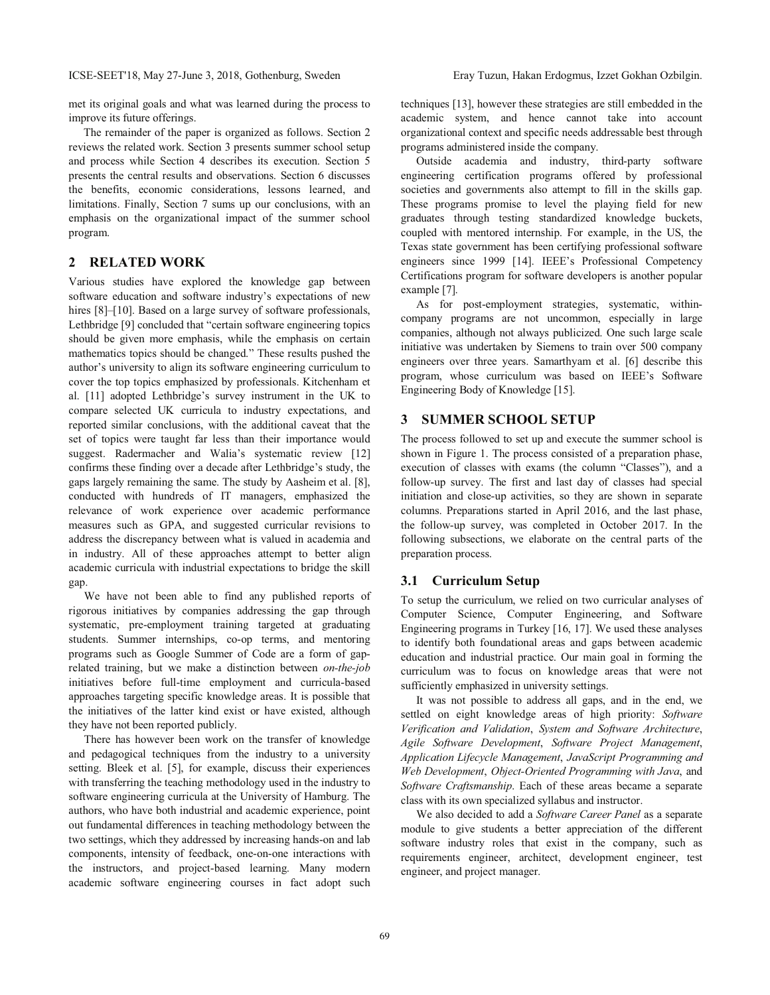met its original goals and what was learned during the process to improve its future offerings.

The remainder of the paper is organized as follows. Section 2 reviews the related work. Section 3 presents summer school setup and process while Section 4 describes its execution. Section 5 presents the central results and observations. Section 6 discusses the benefits, economic considerations, lessons learned, and limitations. Finally, Section 7 sums up our conclusions, with an emphasis on the organizational impact of the summer school program.

# **2 RELATED WORK**

Various studies have explored the knowledge gap between software education and software industry's expectations of new hires [8]–[10]. Based on a large survey of software professionals, Lethbridge [9] concluded that "certain software engineering topics should be given more emphasis, while the emphasis on certain mathematics topics should be changed." These results pushed the author's university to align its software engineering curriculum to cover the top topics emphasized by professionals. Kitchenham et al. [11] adopted Lethbridge's survey instrument in the UK to compare selected UK curricula to industry expectations, and reported similar conclusions, with the additional caveat that the set of topics were taught far less than their importance would suggest. Radermacher and Walia's systematic review [12] confirms these finding over a decade after Lethbridge's study, the gaps largely remaining the same. The study by Aasheim et al. [8], conducted with hundreds of IT managers, emphasized the relevance of work experience over academic performance measures such as GPA, and suggested curricular revisions to address the discrepancy between what is valued in academia and in industry. All of these approaches attempt to better align academic curricula with industrial expectations to bridge the skill gap.

We have not been able to find any published reports of rigorous initiatives by companies addressing the gap through systematic, pre-employment training targeted at graduating students. Summer internships, co-op terms, and mentoring programs such as Google Summer of Code are a form of gaprelated training, but we make a distinction between *on-the-job* initiatives before full-time employment and curricula-based approaches targeting specific knowledge areas. It is possible that the initiatives of the latter kind exist or have existed, although they have not been reported publicly.

There has however been work on the transfer of knowledge and pedagogical techniques from the industry to a university setting. Bleek et al. [5], for example, discuss their experiences with transferring the teaching methodology used in the industry to software engineering curricula at the University of Hamburg. The authors, who have both industrial and academic experience, point out fundamental differences in teaching methodology between the two settings, which they addressed by increasing hands-on and lab components, intensity of feedback, one-on-one interactions with the instructors, and project-based learning. Many modern academic software engineering courses in fact adopt such

techniques [13], however these strategies are still embedded in the academic system, and hence cannot take into account organizational context and specific needs addressable best through programs administered inside the company.

Outside academia and industry, third-party software engineering certification programs offered by professional societies and governments also attempt to fill in the skills gap. These programs promise to level the playing field for new graduates through testing standardized knowledge buckets, coupled with mentored internship. For example, in the US, the Texas state government has been certifying professional software engineers since 1999 [14]. IEEE's Professional Competency Certifications program for software developers is another popular example [7].

As for post-employment strategies, systematic, withincompany programs are not uncommon, especially in large companies, although not always publicized. One such large scale initiative was undertaken by Siemens to train over 500 company engineers over three years. Samarthyam et al. [6] describe this program, whose curriculum was based on IEEE's Software Engineering Body of Knowledge [15].

## **3 SUMMER SCHOOL SETUP**

The process followed to set up and execute the summer school is shown in Figure 1. The process consisted of a preparation phase, execution of classes with exams (the column "Classes"), and a follow-up survey. The first and last day of classes had special initiation and close-up activities, so they are shown in separate columns. Preparations started in April 2016, and the last phase, the follow-up survey, was completed in October 2017. In the following subsections, we elaborate on the central parts of the preparation process.

#### **3.1 Curriculum Setup**

To setup the curriculum, we relied on two curricular analyses of Computer Science, Computer Engineering, and Software Engineering programs in Turkey [16, 17]. We used these analyses to identify both foundational areas and gaps between academic education and industrial practice. Our main goal in forming the curriculum was to focus on knowledge areas that were not sufficiently emphasized in university settings.

It was not possible to address all gaps, and in the end, we settled on eight knowledge areas of high priority: *Software Verification and Validation*, *System and Software Architecture*, *Agile Software Development*, *Software Project Management*, *Application Lifecycle Management*, *JavaScript Programming and Web Development*, *Object-Oriented Programming with Java*, and *Software Craftsmanship*. Each of these areas became a separate class with its own specialized syllabus and instructor.

We also decided to add a *Software Career Panel* as a separate module to give students a better appreciation of the different software industry roles that exist in the company, such as requirements engineer, architect, development engineer, test engineer, and project manager.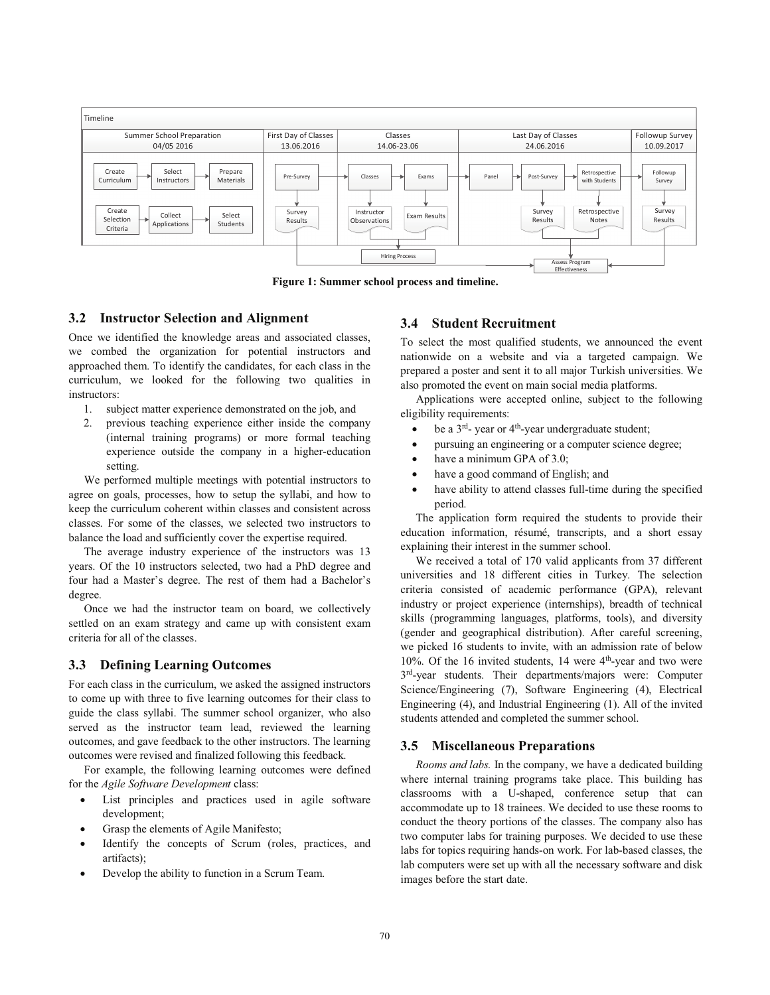

**Figure 1: Summer school process and timeline.** 

#### **3.2 Instructor Selection and Alignment**

Once we identified the knowledge areas and associated classes, we combed the organization for potential instructors and approached them. To identify the candidates, for each class in the curriculum, we looked for the following two qualities in instructors:

- 1. subject matter experience demonstrated on the job, and
- 2. previous teaching experience either inside the company (internal training programs) or more formal teaching experience outside the company in a higher-education setting.

We performed multiple meetings with potential instructors to agree on goals, processes, how to setup the syllabi, and how to keep the curriculum coherent within classes and consistent across classes. For some of the classes, we selected two instructors to balance the load and sufficiently cover the expertise required.

The average industry experience of the instructors was 13 years. Of the 10 instructors selected, two had a PhD degree and four had a Master's degree. The rest of them had a Bachelor's degree.

Once we had the instructor team on board, we collectively settled on an exam strategy and came up with consistent exam criteria for all of the classes.

#### **3.3 Defining Learning Outcomes**

For each class in the curriculum, we asked the assigned instructors to come up with three to five learning outcomes for their class to guide the class syllabi. The summer school organizer, who also served as the instructor team lead, reviewed the learning outcomes, and gave feedback to the other instructors. The learning outcomes were revised and finalized following this feedback.

For example, the following learning outcomes were defined for the *Agile Software Development* class:

- List principles and practices used in agile software development;
- Grasp the elements of Agile Manifesto;
- Identify the concepts of Scrum (roles, practices, and artifacts);
- Develop the ability to function in a Scrum Team.

# **3.4 Student Recruitment**

To select the most qualified students, we announced the event nationwide on a website and via a targeted campaign. We prepared a poster and sent it to all major Turkish universities. We also promoted the event on main social media platforms.

Applications were accepted online, subject to the following eligibility requirements:

- be a  $3<sup>rd</sup>$  year or  $4<sup>th</sup>$ -year undergraduate student;
- pursuing an engineering or a computer science degree;
- have a minimum GPA of 3.0:
- have a good command of English; and
- have ability to attend classes full-time during the specified period.

The application form required the students to provide their education information, résumé, transcripts, and a short essay explaining their interest in the summer school.

We received a total of 170 valid applicants from 37 different universities and 18 different cities in Turkey. The selection criteria consisted of academic performance (GPA), relevant industry or project experience (internships), breadth of technical skills (programming languages, platforms, tools), and diversity (gender and geographical distribution). After careful screening, we picked 16 students to invite, with an admission rate of below  $10\%$ . Of the 16 invited students, 14 were  $4<sup>th</sup>$ -year and two were 3rd-year students. Their departments/majors were: Computer Science/Engineering (7), Software Engineering (4), Electrical Engineering (4), and Industrial Engineering (1). All of the invited students attended and completed the summer school.

#### **3.5 Miscellaneous Preparations**

*Rooms and labs.* In the company, we have a dedicated building where internal training programs take place. This building has classrooms with a U-shaped, conference setup that can accommodate up to 18 trainees. We decided to use these rooms to conduct the theory portions of the classes. The company also has two computer labs for training purposes. We decided to use these labs for topics requiring hands-on work. For lab-based classes, the lab computers were set up with all the necessary software and disk images before the start date.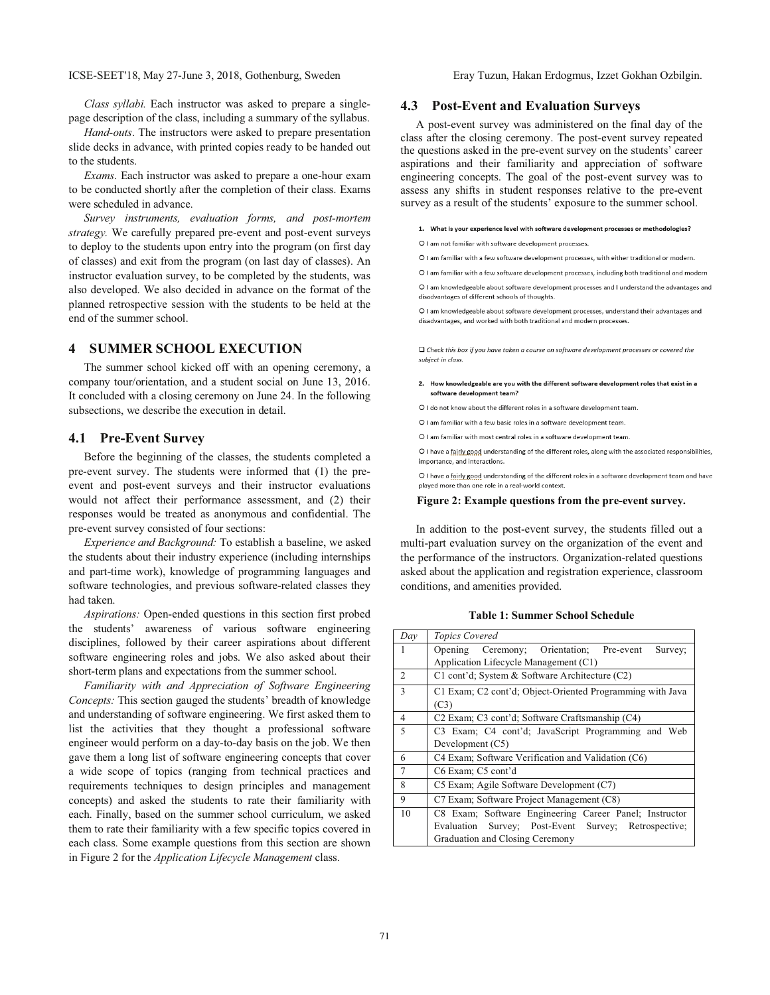ICSE-SEET'18, May 27-June 3, 2018, Gothenburg, Sweden Eray Tuzun, Hakan Erdogmus, Izzet Gokhan Ozbilgin.

*Class syllabi.* Each instructor was asked to prepare a singlepage description of the class, including a summary of the syllabus.

*Hand-outs*. The instructors were asked to prepare presentation slide decks in advance, with printed copies ready to be handed out to the students.

*Exams*. Each instructor was asked to prepare a one-hour exam to be conducted shortly after the completion of their class. Exams were scheduled in advance.

*Survey instruments, evaluation forms, and post-mortem strategy.* We carefully prepared pre-event and post-event surveys to deploy to the students upon entry into the program (on first day of classes) and exit from the program (on last day of classes). An instructor evaluation survey, to be completed by the students, was also developed. We also decided in advance on the format of the planned retrospective session with the students to be held at the end of the summer school.

# **4 SUMMER SCHOOL EXECUTION**

The summer school kicked off with an opening ceremony, a company tour/orientation, and a student social on June 13, 2016. It concluded with a closing ceremony on June 24. In the following subsections, we describe the execution in detail.

# **4.1 Pre-Event Survey**

Before the beginning of the classes, the students completed a pre-event survey. The students were informed that (1) the preevent and post-event surveys and their instructor evaluations would not affect their performance assessment, and (2) their responses would be treated as anonymous and confidential. The pre-event survey consisted of four sections:

*Experience and Background:* To establish a baseline, we asked the students about their industry experience (including internships and part-time work), knowledge of programming languages and software technologies, and previous software-related classes they had taken.

*Aspirations:* Open-ended questions in this section first probed the students' awareness of various software engineering disciplines, followed by their career aspirations about different software engineering roles and jobs. We also asked about their short-term plans and expectations from the summer school.

*Familiarity with and Appreciation of Software Engineering Concepts:* This section gauged the students' breadth of knowledge and understanding of software engineering. We first asked them to list the activities that they thought a professional software engineer would perform on a day-to-day basis on the job. We then gave them a long list of software engineering concepts that cover a wide scope of topics (ranging from technical practices and requirements techniques to design principles and management concepts) and asked the students to rate their familiarity with each. Finally, based on the summer school curriculum, we asked them to rate their familiarity with a few specific topics covered in each class. Some example questions from this section are shown in Figure 2 for the *Application Lifecycle Management* class.

#### **4.3 Post-Event and Evaluation Surveys**

A post-event survey was administered on the final day of the class after the closing ceremony. The post-event survey repeated the questions asked in the pre-event survey on the students' career aspirations and their familiarity and appreciation of software engineering concepts. The goal of the post-event survey was to assess any shifts in student responses relative to the pre-event survey as a result of the students' exposure to the summer school.

O I am not familiar with software development processes

O I am familiar with a few software development processes, with either traditional or modern.

O I am familiar with a few software development processes, including both traditional and modern

O I am knowledgeable about software development processes and I understand the advantages and disadvantages of different schools of thoughts.

O I am knowledgeable about software development processes, understand their advantages and disadvantages, and worked with both traditional and modern processes.

 $\Box$  Check this box if you have taken a course on software development processes or covered the subject in class.

#### 2. How knowledgeable are you with the different software development roles that exist in a software development team?

O I do not know about the different roles in a software development team

O I am familiar with a few basic roles in a software development team.

O I am familiar with most central roles in a software development team

O I have a fairly good understanding of the different roles, along with the associated responsibilities, importance, and interactions.

O I have a fairly good understanding of the different roles in a software development team and have played more than one role in a real-world context.

#### **Figure 2: Example questions from the pre-event survey.**

In addition to the post-event survey, the students filled out a multi-part evaluation survey on the organization of the event and the performance of the instructors. Organization-related questions asked about the application and registration experience, classroom conditions, and amenities provided.

**Table 1: Summer School Schedule** 

| Day            | <b>Topics Covered</b>                                     |  |  |  |  |  |  |
|----------------|-----------------------------------------------------------|--|--|--|--|--|--|
| 1              | Opening Ceremony; Orientation; Pre-event<br>Survey:       |  |  |  |  |  |  |
|                | Application Lifecycle Management (C1)                     |  |  |  |  |  |  |
| 2              | C1 cont'd; System & Software Architecture (C2)            |  |  |  |  |  |  |
| $\mathbf{3}$   | C1 Exam; C2 cont'd; Object-Oriented Programming with Java |  |  |  |  |  |  |
|                | (C3)                                                      |  |  |  |  |  |  |
| 4              | C2 Exam; C3 cont'd; Software Craftsmanship (C4)           |  |  |  |  |  |  |
| $\overline{5}$ | C3 Exam; C4 cont'd; JavaScript Programming and Web        |  |  |  |  |  |  |
|                | Development (C5)                                          |  |  |  |  |  |  |
| 6              | C4 Exam: Software Verification and Validation (C6)        |  |  |  |  |  |  |
| 7              | C6 Exam: C5 cont'd                                        |  |  |  |  |  |  |
| 8              | C5 Exam; Agile Software Development (C7)                  |  |  |  |  |  |  |
| 9              | C7 Exam; Software Project Management (C8)                 |  |  |  |  |  |  |
| 10             | C8 Exam; Software Engineering Career Panel; Instructor    |  |  |  |  |  |  |
|                | Evaluation Survey; Post-Event Survey; Retrospective;      |  |  |  |  |  |  |
|                | Graduation and Closing Ceremony                           |  |  |  |  |  |  |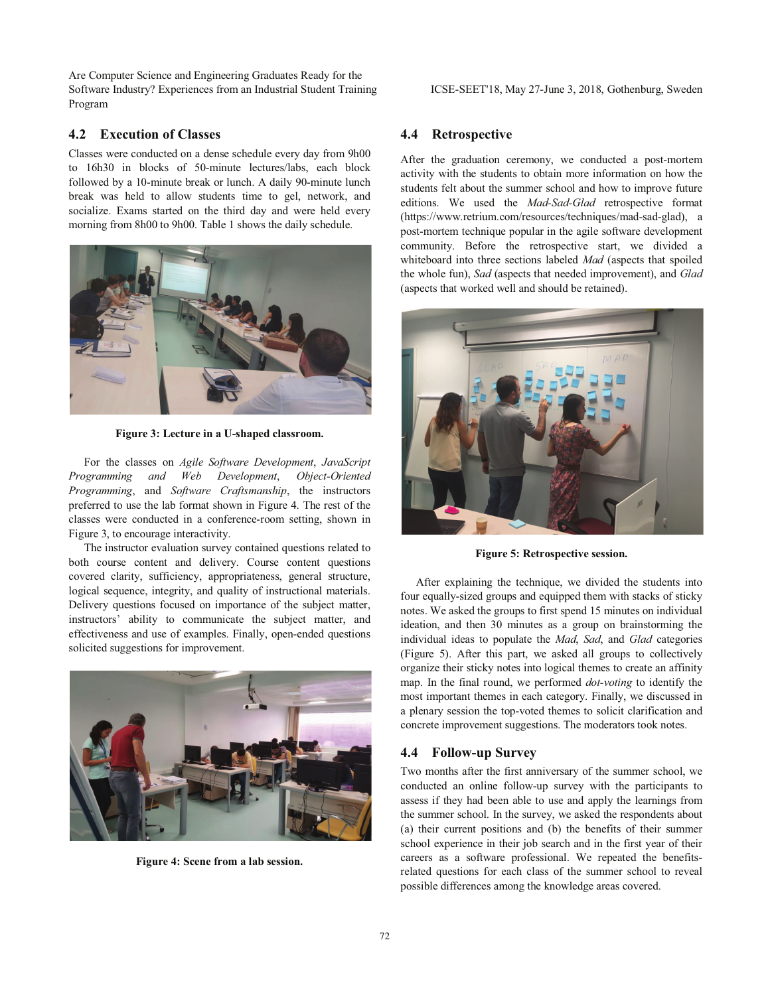## **4.2 Execution of Classes**

Classes were conducted on a dense schedule every day from 9h00 to 16h30 in blocks of 50-minute lectures/labs, each block followed by a 10-minute break or lunch. A daily 90-minute lunch break was held to allow students time to gel, network, and socialize. Exams started on the third day and were held every morning from 8h00 to 9h00. Table 1 shows the daily schedule.



**Figure 3: Lecture in a U-shaped classroom.** 

For the classes on *Agile Software Development*, *JavaScript Programming and Web Development*, *Object-Oriented Programming*, and *Software Craftsmanship*, the instructors preferred to use the lab format shown in Figure 4. The rest of the classes were conducted in a conference-room setting, shown in Figure 3, to encourage interactivity.

The instructor evaluation survey contained questions related to both course content and delivery. Course content questions covered clarity, sufficiency, appropriateness, general structure, logical sequence, integrity, and quality of instructional materials. Delivery questions focused on importance of the subject matter, instructors' ability to communicate the subject matter, and effectiveness and use of examples. Finally, open-ended questions solicited suggestions for improvement.



**Figure 4: Scene from a lab session.** 

# **4.4 Retrospective**

After the graduation ceremony, we conducted a post-mortem activity with the students to obtain more information on how the students felt about the summer school and how to improve future editions. We used the *Mad-Sad-Glad* retrospective format (https://www.retrium.com/resources/techniques/mad-sad-glad), a post-mortem technique popular in the agile software development community. Before the retrospective start, we divided a whiteboard into three sections labeled *Mad* (aspects that spoiled the whole fun), *Sad* (aspects that needed improvement), and *Glad* (aspects that worked well and should be retained).



**Figure 5: Retrospective session.** 

After explaining the technique, we divided the students into four equally-sized groups and equipped them with stacks of sticky notes. We asked the groups to first spend 15 minutes on individual ideation, and then 30 minutes as a group on brainstorming the individual ideas to populate the *Mad*, *Sad*, and *Glad* categories (Figure 5). After this part, we asked all groups to collectively organize their sticky notes into logical themes to create an affinity map. In the final round, we performed *dot-voting* to identify the most important themes in each category. Finally, we discussed in a plenary session the top-voted themes to solicit clarification and concrete improvement suggestions. The moderators took notes.

### **4.4 Follow-up Survey**

Two months after the first anniversary of the summer school, we conducted an online follow-up survey with the participants to assess if they had been able to use and apply the learnings from the summer school. In the survey, we asked the respondents about (a) their current positions and (b) the benefits of their summer school experience in their job search and in the first year of their careers as a software professional. We repeated the benefitsrelated questions for each class of the summer school to reveal possible differences among the knowledge areas covered.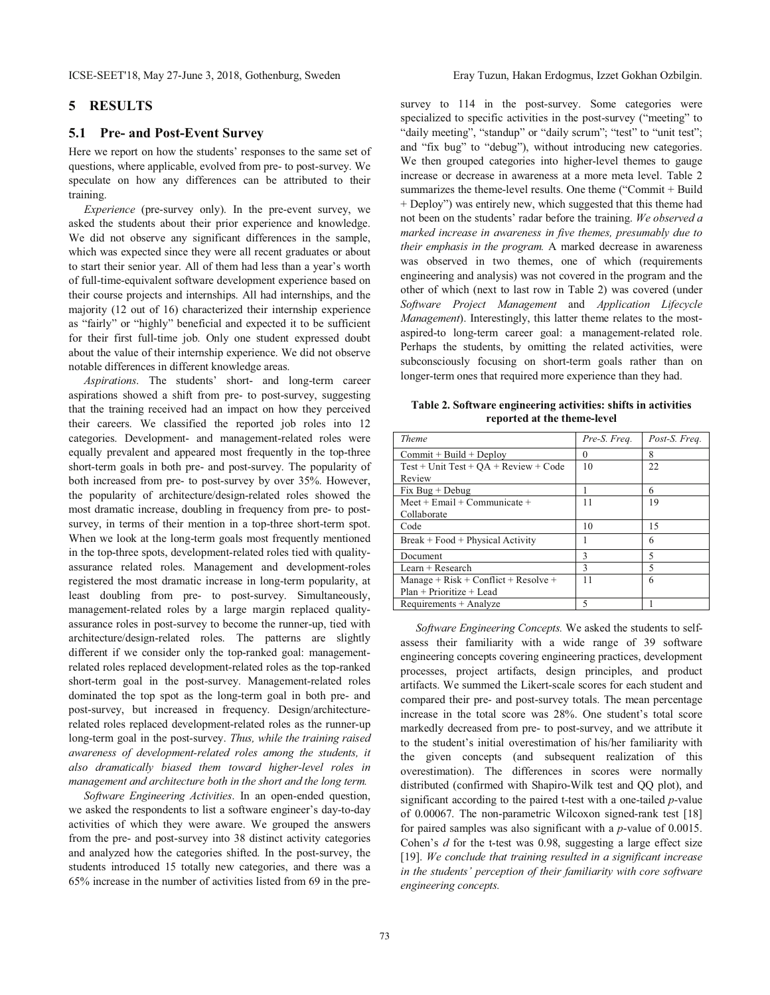### **5 RESULTS**

#### **5.1 Pre- and Post-Event Survey**

Here we report on how the students' responses to the same set of questions, where applicable, evolved from pre- to post-survey. We speculate on how any differences can be attributed to their training.

*Experience* (pre-survey only). In the pre-event survey, we asked the students about their prior experience and knowledge. We did not observe any significant differences in the sample, which was expected since they were all recent graduates or about to start their senior year. All of them had less than a year's worth of full-time-equivalent software development experience based on their course projects and internships. All had internships, and the majority (12 out of 16) characterized their internship experience as "fairly" or "highly" beneficial and expected it to be sufficient for their first full-time job. Only one student expressed doubt about the value of their internship experience. We did not observe notable differences in different knowledge areas.

*Aspirations*. The students' short- and long-term career aspirations showed a shift from pre- to post-survey, suggesting that the training received had an impact on how they perceived their careers. We classified the reported job roles into 12 categories. Development- and management-related roles were equally prevalent and appeared most frequently in the top-three short-term goals in both pre- and post-survey. The popularity of both increased from pre- to post-survey by over 35%. However, the popularity of architecture/design-related roles showed the most dramatic increase, doubling in frequency from pre- to postsurvey, in terms of their mention in a top-three short-term spot. When we look at the long-term goals most frequently mentioned in the top-three spots, development-related roles tied with qualityassurance related roles. Management and development-roles registered the most dramatic increase in long-term popularity, at least doubling from pre- to post-survey. Simultaneously, management-related roles by a large margin replaced qualityassurance roles in post-survey to become the runner-up, tied with architecture/design-related roles. The patterns are slightly different if we consider only the top-ranked goal: managementrelated roles replaced development-related roles as the top-ranked short-term goal in the post-survey. Management-related roles dominated the top spot as the long-term goal in both pre- and post-survey, but increased in frequency. Design/architecturerelated roles replaced development-related roles as the runner-up long-term goal in the post-survey. *Thus, while the training raised awareness of development-related roles among the students, it also dramatically biased them toward higher-level roles in management and architecture both in the short and the long term.* 

*Software Engineering Activities*. In an open-ended question, we asked the respondents to list a software engineer's day-to-day activities of which they were aware. We grouped the answers from the pre- and post-survey into 38 distinct activity categories and analyzed how the categories shifted. In the post-survey, the students introduced 15 totally new categories, and there was a 65% increase in the number of activities listed from 69 in the presurvey to 114 in the post-survey. Some categories were specialized to specific activities in the post-survey ("meeting" to "daily meeting", "standup" or "daily scrum"; "test" to "unit test"; and "fix bug" to "debug"), without introducing new categories. We then grouped categories into higher-level themes to gauge increase or decrease in awareness at a more meta level. Table 2 summarizes the theme-level results. One theme ("Commit + Build + Deploy") was entirely new, which suggested that this theme had not been on the students' radar before the training. *We observed a marked increase in awareness in five themes, presumably due to their emphasis in the program.* A marked decrease in awareness was observed in two themes, one of which (requirements engineering and analysis) was not covered in the program and the other of which (next to last row in Table 2) was covered (under *Software Project Management* and *Application Lifecycle Management*). Interestingly, this latter theme relates to the mostaspired-to long-term career goal: a management-related role. Perhaps the students, by omitting the related activities, were subconsciously focusing on short-term goals rather than on longer-term ones that required more experience than they had.

**Table 2. Software engineering activities: shifts in activities reported at the theme-level** 

| <b>Theme</b>                             | Pre-S. Freq. | Post-S. Freq. |
|------------------------------------------|--------------|---------------|
| $Commit + Build + Deploy$                | 0            | 8             |
| $Test + Unit Test + OA + Review + Code$  | 10           | 22            |
| Review                                   |              |               |
| Fix Bug $+$ Debug                        |              | 6             |
| Meet + $Email + Communicate +$           | 11           | 19            |
| Collaborate                              |              |               |
| Code                                     | 10           | 15            |
| $Break + Food + Physical Activity$       |              | 6             |
| Document                                 | 3            | 5             |
| Learn + Research                         | 3            | 5             |
| Manage + $Risk$ + Conflict + $Resolve$ + | 11           | 6             |
| $Plan + Prioritize + Lead$               |              |               |
| Requirements + Analyze                   | 5            |               |

*Software Engineering Concepts.* We asked the students to selfassess their familiarity with a wide range of 39 software engineering concepts covering engineering practices, development processes, project artifacts, design principles, and product artifacts. We summed the Likert-scale scores for each student and compared their pre- and post-survey totals. The mean percentage increase in the total score was 28%. One student's total score markedly decreased from pre- to post-survey, and we attribute it to the student's initial overestimation of his/her familiarity with the given concepts (and subsequent realization of this overestimation). The differences in scores were normally distributed (confirmed with Shapiro-Wilk test and QQ plot), and significant according to the paired t-test with a one-tailed *p*-value of 0.00067. The non-parametric Wilcoxon signed-rank test [18] for paired samples was also significant with a *p*-value of 0.0015. Cohen's *d* for the t-test was 0.98, suggesting a large effect size [19]. *We conclude that training resulted in a significant increase in the students' perception of their familiarity with core software engineering concepts.*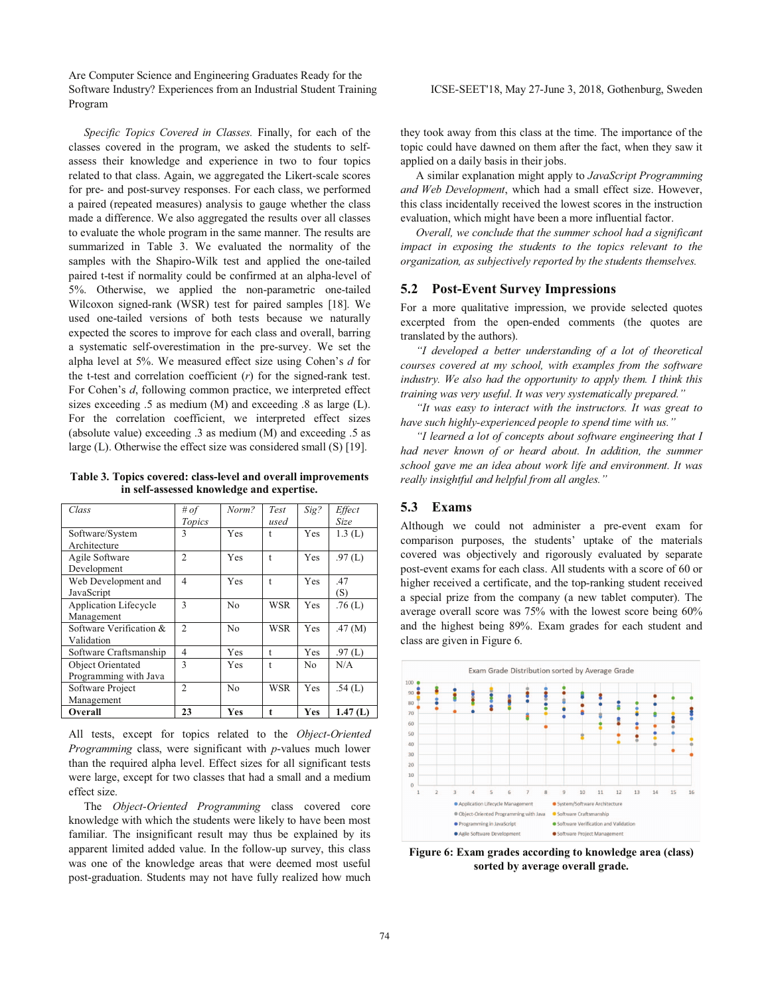*Specific Topics Covered in Classes.* Finally, for each of the classes covered in the program, we asked the students to selfassess their knowledge and experience in two to four topics related to that class. Again, we aggregated the Likert-scale scores for pre- and post-survey responses. For each class, we performed a paired (repeated measures) analysis to gauge whether the class made a difference. We also aggregated the results over all classes to evaluate the whole program in the same manner. The results are summarized in Table 3. We evaluated the normality of the samples with the Shapiro-Wilk test and applied the one-tailed paired t-test if normality could be confirmed at an alpha-level of 5%. Otherwise, we applied the non-parametric one-tailed Wilcoxon signed-rank (WSR) test for paired samples [18]. We used one-tailed versions of both tests because we naturally expected the scores to improve for each class and overall, barring a systematic self-overestimation in the pre-survey. We set the alpha level at 5%. We measured effect size using Cohen's *d* for the t-test and correlation coefficient (*r*) for the signed-rank test. For Cohen's *d*, following common practice, we interpreted effect sizes exceeding .5 as medium (M) and exceeding .8 as large (L). For the correlation coefficient, we interpreted effect sizes (absolute value) exceeding .3 as medium (M) and exceeding .5 as large (L). Otherwise the effect size was considered small (S) [19].

**Table 3. Topics covered: class-level and overall improvements in self-assessed knowledge and expertise.** 

| Class                        | # of           | Norm?          | Test | Sig?           | Effect    |
|------------------------------|----------------|----------------|------|----------------|-----------|
|                              | Topics         |                | used |                | Size      |
| Software/System              | 3              | Yes            | t    | Yes            | 1.3(L)    |
| Architecture                 |                |                |      |                |           |
| Agile Software               | $\overline{c}$ | Yes            | t    | Yes            | .97(L)    |
| Development                  |                |                |      |                |           |
| Web Development and          | $\overline{4}$ | Yes            | t    | Yes            | .47       |
| JavaScript                   |                |                |      |                | (S)       |
| <b>Application Lifecycle</b> | $\mathbf{3}$   | N <sub>0</sub> | WSR  | Yes            | .76 $(L)$ |
| Management                   |                |                |      |                |           |
| Software Verification &      | $\mathfrak{D}$ | N <sub>0</sub> | WSR  | Yes            | .47 $(M)$ |
| Validation                   |                |                |      |                |           |
| Software Craftsmanship       | 4              | Yes            | t    | Yes            | .97(L)    |
| <b>Object Orientated</b>     | 3              | Yes            | t    | N <sub>0</sub> | N/A       |
| Programming with Java        |                |                |      |                |           |
| Software Project             | $\overline{c}$ | N <sub>0</sub> | WSR  | Yes            | .54 $(L)$ |
| Management                   |                |                |      |                |           |
| Overall                      | 23             | Yes            | t    | Yes            | 1.47(L)   |

All tests, except for topics related to the *Object-Oriented Programming* class, were significant with *p*-values much lower than the required alpha level. Effect sizes for all significant tests were large, except for two classes that had a small and a medium effect size.

The *Object-Oriented Programming* class covered core knowledge with which the students were likely to have been most familiar. The insignificant result may thus be explained by its apparent limited added value. In the follow-up survey, this class was one of the knowledge areas that were deemed most useful post-graduation. Students may not have fully realized how much they took away from this class at the time. The importance of the topic could have dawned on them after the fact, when they saw it applied on a daily basis in their jobs.

A similar explanation might apply to *JavaScript Programming and Web Development*, which had a small effect size. However, this class incidentally received the lowest scores in the instruction evaluation, which might have been a more influential factor.

*Overall, we conclude that the summer school had a significant impact in exposing the students to the topics relevant to the organization, as subjectively reported by the students themselves.*

#### **5.2 Post-Event Survey Impressions**

For a more qualitative impression, we provide selected quotes excerpted from the open-ended comments (the quotes are translated by the authors).

*"I developed a better understanding of a lot of theoretical courses covered at my school, with examples from the software industry. We also had the opportunity to apply them. I think this training was very useful. It was very systematically prepared."* 

*"It was easy to interact with the instructors. It was great to have such highly-experienced people to spend time with us."* 

*"I learned a lot of concepts about software engineering that I*  had never known of or heard about. In addition, the summer *school gave me an idea about work life and environment. It was really insightful and helpful from all angles."*

#### **5.3 Exams**

Although we could not administer a pre-event exam for comparison purposes, the students' uptake of the materials covered was objectively and rigorously evaluated by separate post-event exams for each class. All students with a score of 60 or higher received a certificate, and the top-ranking student received a special prize from the company (a new tablet computer). The average overall score was 75% with the lowest score being 60% and the highest being 89%. Exam grades for each student and class are given in Figure 6.



**Figure 6: Exam grades according to knowledge area (class) sorted by average overall grade.**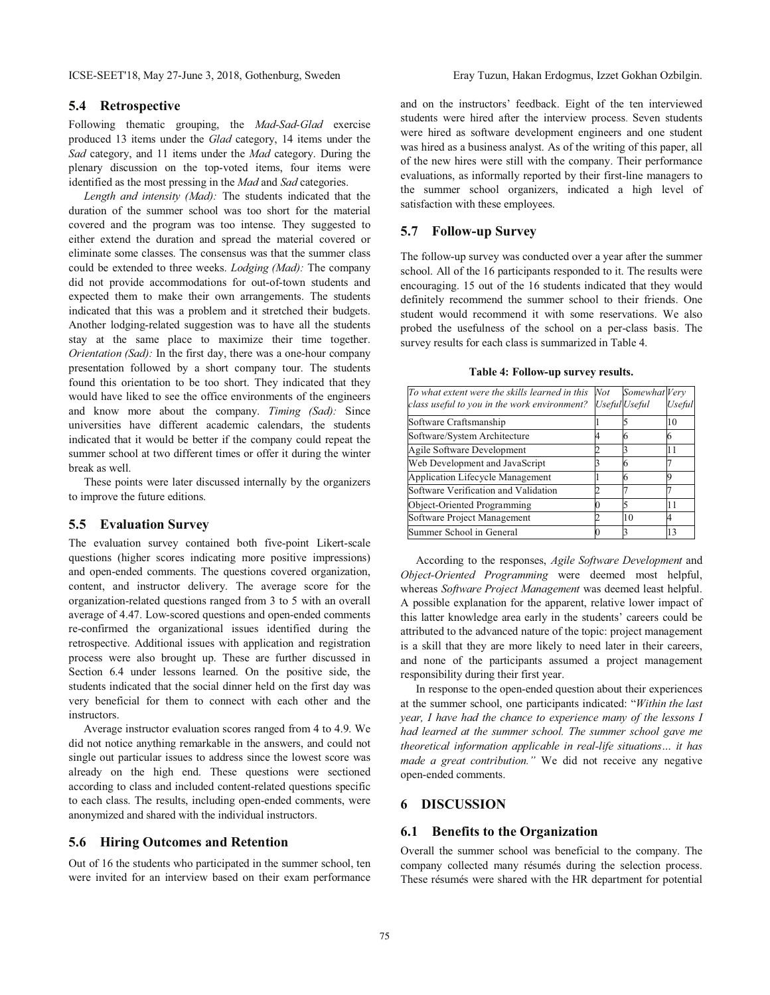ICSE-SEET'18, May 27-June 3, 2018, Gothenburg, Sweden Eray Tuzun, Hakan Erdogmus, Izzet Gokhan Ozbilgin.

#### **5.4 Retrospective**

Following thematic grouping, the *Mad-Sad-Glad* exercise produced 13 items under the *Glad* category, 14 items under the *Sad* category, and 11 items under the *Mad* category. During the plenary discussion on the top-voted items, four items were identified as the most pressing in the *Mad* and *Sad* categories.

*Length and intensity (Mad):* The students indicated that the duration of the summer school was too short for the material covered and the program was too intense. They suggested to either extend the duration and spread the material covered or eliminate some classes. The consensus was that the summer class could be extended to three weeks. *Lodging (Mad):* The company did not provide accommodations for out-of-town students and expected them to make their own arrangements. The students indicated that this was a problem and it stretched their budgets. Another lodging-related suggestion was to have all the students stay at the same place to maximize their time together. *Orientation (Sad):* In the first day, there was a one-hour company presentation followed by a short company tour. The students found this orientation to be too short. They indicated that they would have liked to see the office environments of the engineers and know more about the company. *Timing (Sad):* Since universities have different academic calendars, the students indicated that it would be better if the company could repeat the summer school at two different times or offer it during the winter break as well.

These points were later discussed internally by the organizers to improve the future editions.

# **5.5 Evaluation Survey**

The evaluation survey contained both five-point Likert-scale questions (higher scores indicating more positive impressions) and open-ended comments. The questions covered organization, content, and instructor delivery. The average score for the organization-related questions ranged from 3 to 5 with an overall average of 4.47. Low-scored questions and open-ended comments re-confirmed the organizational issues identified during the retrospective. Additional issues with application and registration process were also brought up. These are further discussed in Section 6.4 under lessons learned. On the positive side, the students indicated that the social dinner held on the first day was very beneficial for them to connect with each other and the instructors.

Average instructor evaluation scores ranged from 4 to 4.9. We did not notice anything remarkable in the answers, and could not single out particular issues to address since the lowest score was already on the high end. These questions were sectioned according to class and included content-related questions specific to each class. The results, including open-ended comments, were anonymized and shared with the individual instructors.

#### **5.6 Hiring Outcomes and Retention**

Out of 16 the students who participated in the summer school, ten were invited for an interview based on their exam performance

and on the instructors' feedback. Eight of the ten interviewed students were hired after the interview process. Seven students were hired as software development engineers and one student was hired as a business analyst. As of the writing of this paper, all of the new hires were still with the company. Their performance evaluations, as informally reported by their first-line managers to the summer school organizers, indicated a high level of satisfaction with these employees.

#### **5.7 Follow-up Survey**

The follow-up survey was conducted over a year after the summer school. All of the 16 participants responded to it. The results were encouraging. 15 out of the 16 students indicated that they would definitely recommend the summer school to their friends. One student would recommend it with some reservations. We also probed the usefulness of the school on a per-class basis. The survey results for each class is summarized in Table 4.

| To what extent were the skills learned in this | Not | Somewhat Verv |        |
|------------------------------------------------|-----|---------------|--------|
| class useful to you in the work environment?   |     | Useful Useful | Useful |
| Software Craftsmanship                         |     |               | 10     |
| Software/System Architecture                   |     | 6             |        |
| Agile Software Development                     |     |               | 11     |
| Web Development and JavaScript                 |     |               |        |
| Application Lifecycle Management               |     | 6             |        |
| Software Verification and Validation           |     |               |        |
| Object-Oriented Programming                    |     |               | 11     |
| Software Project Management                    |     | 10            |        |
| Summer School in General                       |     |               | 13     |

**Table 4: Follow-up survey results.** 

According to the responses, *Agile Software Development* and *Object-Oriented Programming* were deemed most helpful, whereas *Software Project Management* was deemed least helpful. A possible explanation for the apparent, relative lower impact of this latter knowledge area early in the students' careers could be attributed to the advanced nature of the topic: project management is a skill that they are more likely to need later in their careers, and none of the participants assumed a project management responsibility during their first year.

In response to the open-ended question about their experiences at the summer school, one participants indicated: "*Within the last year, I have had the chance to experience many of the lessons I had learned at the summer school. The summer school gave me theoretical information applicable in real-life situations… it has made a great contribution."* We did not receive any negative open-ended comments.

# **6 DISCUSSION**

#### **6.1 Benefits to the Organization**

Overall the summer school was beneficial to the company. The company collected many résumés during the selection process. These résumés were shared with the HR department for potential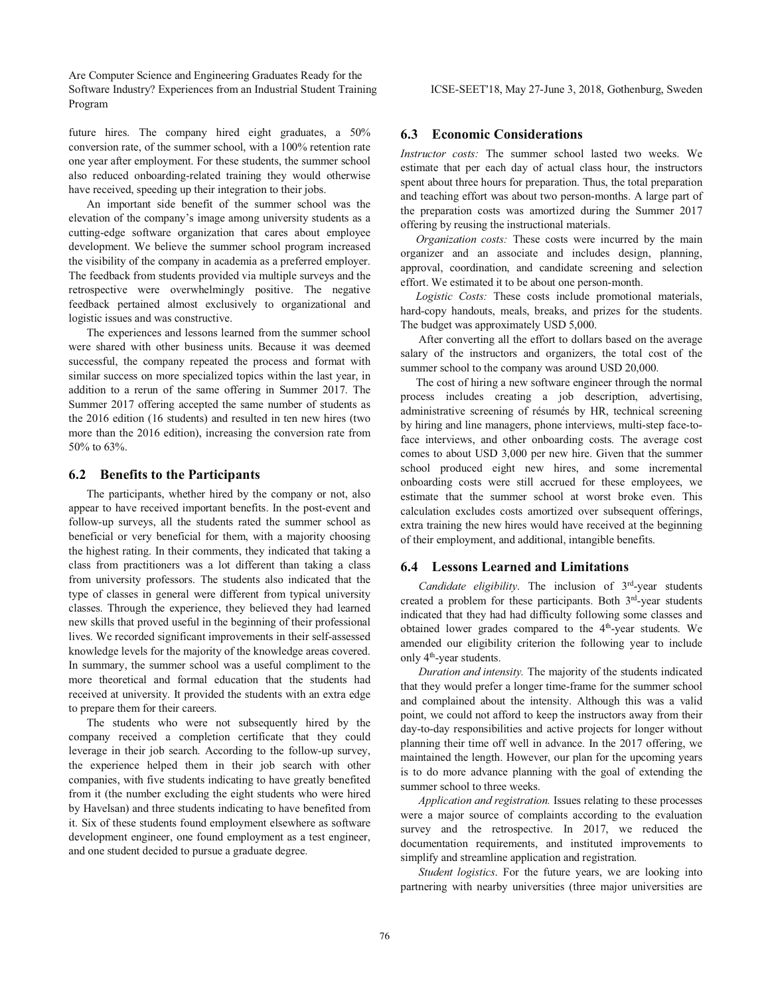ICSE-SEET'18, May 27-June 3, 2018, Gothenburg, Sweden

future hires. The company hired eight graduates, a 50% conversion rate, of the summer school, with a 100% retention rate one year after employment. For these students, the summer school also reduced onboarding-related training they would otherwise have received, speeding up their integration to their jobs.

An important side benefit of the summer school was the elevation of the company's image among university students as a cutting-edge software organization that cares about employee development. We believe the summer school program increased the visibility of the company in academia as a preferred employer. The feedback from students provided via multiple surveys and the retrospective were overwhelmingly positive. The negative feedback pertained almost exclusively to organizational and logistic issues and was constructive.

The experiences and lessons learned from the summer school were shared with other business units. Because it was deemed successful, the company repeated the process and format with similar success on more specialized topics within the last year, in addition to a rerun of the same offering in Summer 2017. The Summer 2017 offering accepted the same number of students as the 2016 edition (16 students) and resulted in ten new hires (two more than the 2016 edition), increasing the conversion rate from 50% to 63%.

#### **6.2 Benefits to the Participants**

The participants, whether hired by the company or not, also appear to have received important benefits. In the post-event and follow-up surveys, all the students rated the summer school as beneficial or very beneficial for them, with a majority choosing the highest rating. In their comments, they indicated that taking a class from practitioners was a lot different than taking a class from university professors. The students also indicated that the type of classes in general were different from typical university classes. Through the experience, they believed they had learned new skills that proved useful in the beginning of their professional lives. We recorded significant improvements in their self-assessed knowledge levels for the majority of the knowledge areas covered. In summary, the summer school was a useful compliment to the more theoretical and formal education that the students had received at university. It provided the students with an extra edge to prepare them for their careers.

The students who were not subsequently hired by the company received a completion certificate that they could leverage in their job search. According to the follow-up survey, the experience helped them in their job search with other companies, with five students indicating to have greatly benefited from it (the number excluding the eight students who were hired by Havelsan) and three students indicating to have benefited from it. Six of these students found employment elsewhere as software development engineer, one found employment as a test engineer, and one student decided to pursue a graduate degree.

# **6.3 Economic Considerations**

*Instructor costs:* The summer school lasted two weeks. We estimate that per each day of actual class hour, the instructors spent about three hours for preparation. Thus, the total preparation and teaching effort was about two person-months. A large part of the preparation costs was amortized during the Summer 2017 offering by reusing the instructional materials.

*Organization costs:* These costs were incurred by the main organizer and an associate and includes design, planning, approval, coordination, and candidate screening and selection effort. We estimated it to be about one person-month.

*Logistic Costs:* These costs include promotional materials, hard-copy handouts, meals, breaks, and prizes for the students. The budget was approximately USD 5,000.

After converting all the effort to dollars based on the average salary of the instructors and organizers, the total cost of the summer school to the company was around USD 20,000.

The cost of hiring a new software engineer through the normal process includes creating a job description, advertising, administrative screening of résumés by HR, technical screening by hiring and line managers, phone interviews, multi-step face-toface interviews, and other onboarding costs. The average cost comes to about USD 3,000 per new hire. Given that the summer school produced eight new hires, and some incremental onboarding costs were still accrued for these employees, we estimate that the summer school at worst broke even. This calculation excludes costs amortized over subsequent offerings, extra training the new hires would have received at the beginning of their employment, and additional, intangible benefits.

## **6.4 Lessons Learned and Limitations**

*Candidate eligibility*. The inclusion of 3rd-year students created a problem for these participants. Both 3rd-year students indicated that they had had difficulty following some classes and obtained lower grades compared to the  $4<sup>th</sup>$ -year students. We amended our eligibility criterion the following year to include only  $4<sup>th</sup>$ -year students.

*Duration and intensity.* The majority of the students indicated that they would prefer a longer time-frame for the summer school and complained about the intensity. Although this was a valid point, we could not afford to keep the instructors away from their day-to-day responsibilities and active projects for longer without planning their time off well in advance. In the 2017 offering, we maintained the length. However, our plan for the upcoming years is to do more advance planning with the goal of extending the summer school to three weeks.

*Application and registration.* Issues relating to these processes were a major source of complaints according to the evaluation survey and the retrospective. In 2017, we reduced the documentation requirements, and instituted improvements to simplify and streamline application and registration.

*Student logistics*. For the future years, we are looking into partnering with nearby universities (three major universities are